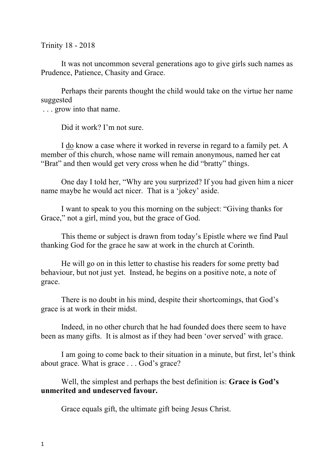Trinity 18 - 2018

It was not uncommon several generations ago to give girls such names as Prudence, Patience, Chasity and Grace.

Perhaps their parents thought the child would take on the virtue her name suggested

. . . grow into that name.

Did it work? I'm not sure.

I do know a case where it worked in reverse in regard to a family pet. A member of this church, whose name will remain anonymous, named her cat "Brat" and then would get very cross when he did "bratty" things.

One day I told her, "Why are you surprized? If you had given him a nicer name maybe he would act nicer. That is a 'jokey' aside.

I want to speak to you this morning on the subject: "Giving thanks for Grace," not a girl, mind you, but the grace of God.

This theme or subject is drawn from today's Epistle where we find Paul thanking God for the grace he saw at work in the church at Corinth.

He will go on in this letter to chastise his readers for some pretty bad behaviour, but not just yet. Instead, he begins on a positive note, a note of grace.

There is no doubt in his mind, despite their shortcomings, that God's grace is at work in their midst.

Indeed, in no other church that he had founded does there seem to have been as many gifts. It is almost as if they had been 'over served' with grace.

I am going to come back to their situation in a minute, but first, let's think about grace. What is grace . . . God's grace?

Well, the simplest and perhaps the best definition is: **Grace is God's unmerited and undeserved favour.**

Grace equals gift, the ultimate gift being Jesus Christ.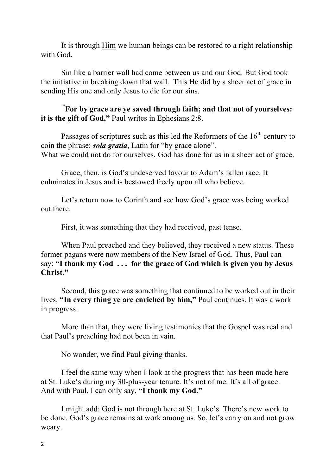It is through Him we human beings can be restored to a right relationship with God.

Sin like a barrier wall had come between us and our God. But God took the initiative in breaking down that wall. This He did by a sheer act of grace in sending His one and only Jesus to die for our sins.

**" For by grace are ye saved through faith; and that not of yourselves: it is the gift of God,"** Paul writes in Ephesians 2:8.

Passages of scriptures such as this led the Reformers of the  $16<sup>th</sup>$  century to coin the phrase: *sola gratia*, Latin for "by grace alone". What we could not do for ourselves. God has done for us in a sheer act of grace.

Grace, then, is God's undeserved favour to Adam's fallen race. It culminates in Jesus and is bestowed freely upon all who believe.

Let's return now to Corinth and see how God's grace was being worked out there.

First, it was something that they had received, past tense.

When Paul preached and they believed, they received a new status. These former pagans were now members of the New Israel of God. Thus, Paul can say: **"I thank my God . . . for the grace of God which is given you by Jesus Christ."**

Second, this grace was something that continued to be worked out in their lives. **"In every thing ye are enriched by him,"** Paul continues. It was a work in progress.

More than that, they were living testimonies that the Gospel was real and that Paul's preaching had not been in vain.

No wonder, we find Paul giving thanks.

I feel the same way when I look at the progress that has been made here at St. Luke's during my 30-plus-year tenure. It's not of me. It's all of grace. And with Paul, I can only say, **"I thank my God."**

I might add: God is not through here at St. Luke's. There's new work to be done. God's grace remains at work among us. So, let's carry on and not grow weary.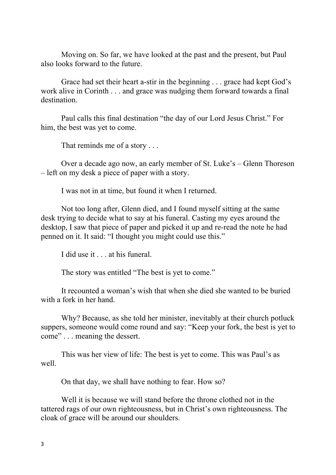Moving on. So far, we have looked at the past and the present, but Paul also looks forward to the future.

Grace had set their heart a-stir in the beginning . . . grace had kept God's work alive in Corinth . . . and grace was nudging them forward towards a final destination.

Paul calls this final destination "the day of our Lord Jesus Christ." For him, the best was yet to come.

That reminds me of a story . . .

Over a decade ago now, an early member of St. Luke's – Glenn Thoreson – left on my desk a piece of paper with a story.

I was not in at time, but found it when I returned.

Not too long after, Glenn died, and I found myself sitting at the same desk trying to decide what to say at his funeral. Casting my eyes around the desktop, I saw that piece of paper and picked it up and re-read the note he had penned on it. It said: "I thought you might could use this."

I did use it . . . at his funeral.

The story was entitled "The best is yet to come."

It recounted a woman's wish that when she died she wanted to be buried with a fork in her hand.

Why? Because, as she told her minister, inevitably at their church potluck suppers, someone would come round and say: "Keep your fork, the best is yet to come" . . . meaning the dessert.

This was her view of life: The best is yet to come. This was Paul's as well.

On that day, we shall have nothing to fear. How so?

Well it is because we will stand before the throne clothed not in the tattered rags of our own righteousness, but in Christ's own righteousness. The cloak of grace will be around our shoulders.